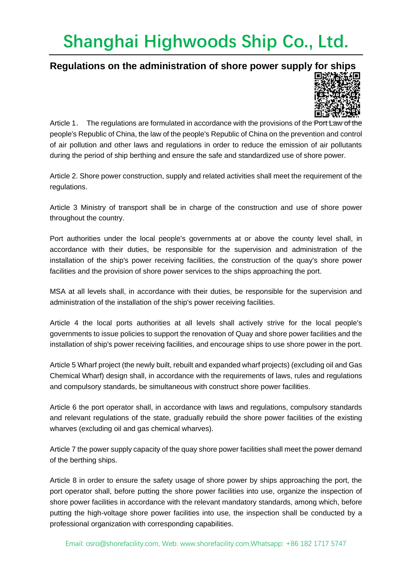#### **Regulations on the administration of shore power supply for ships**



Article 1. The regulations are formulated in accordance with the provisions of the Port Law of the people's Republic of China, the law of the people's Republic of China on the prevention and control of air pollution and other laws and regulations in order to reduce the emission of air pollutants during the period of ship berthing and ensure the safe and standardized use of shore power.

Article 2. Shore power construction, supply and related activities shall meet the requirement of the regulations.

Article 3 Ministry of transport shall be in charge of the construction and use of shore power throughout the country.

Port authorities under the local people's governments at or above the county level shall, in accordance with their duties, be responsible for the supervision and administration of the installation of the ship's power receiving facilities, the construction of the quay's shore power facilities and the provision of shore power services to the ships approaching the port.

MSA at all levels shall, in accordance with their duties, be responsible for the supervision and administration of the installation of the ship's power receiving facilities.

Article 4 the local ports authorities at all levels shall actively strive for the local people's governments to issue policies to support the renovation of Quay and shore power facilities and the installation of ship's power receiving facilities, and encourage ships to use shore power in the port.

Article 5 Wharf project (the newly built, rebuilt and expanded wharf projects) (excluding oil and Gas Chemical Wharf) design shall, in accordance with the requirements of laws, rules and regulations and compulsory standards, be simultaneous with construct shore power facilities.

Article 6 the port operator shall, in accordance with laws and regulations, compulsory standards and relevant regulations of the state, gradually rebuild the shore power facilities of the existing wharves (excluding oil and gas chemical wharves).

Article 7 the power supply capacity of the quay shore power facilities shall meet the power demand of the berthing ships.

Article 8 in order to ensure the safety usage of shore power by ships approaching the port, the port operator shall, before putting the shore power facilities into use, organize the inspection of shore power facilities in accordance with the relevant mandatory standards, among which, before putting the high-voltage shore power facilities into use, the inspection shall be conducted by a professional organization with corresponding capabilities.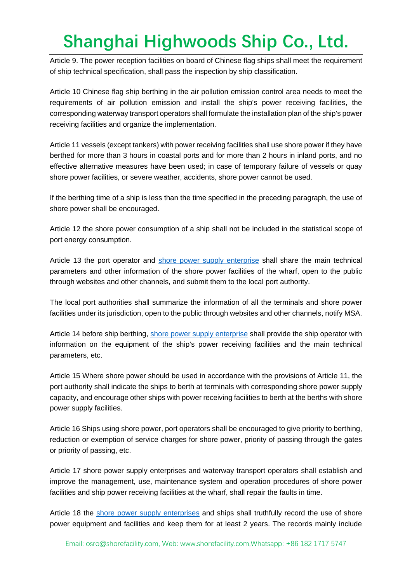Article 9. The power reception facilities on board of Chinese flag ships shall meet the requirement of ship technical specification, shall pass the inspection by ship classification.

Article 10 Chinese flag ship berthing in the air pollution emission control area needs to meet the requirements of air pollution emission and install the ship's power receiving facilities, the corresponding waterway transport operators shall formulate the installation plan of the ship's power receiving facilities and organize the implementation.

Article 11 vessels (except tankers) with power receiving facilities shall use shore power if they have berthed for more than 3 hours in coastal ports and for more than 2 hours in inland ports, and no effective alternative measures have been used; in case of temporary failure of vessels or quay shore power facilities, or severe weather, accidents, shore power cannot be used.

If the berthing time of a ship is less than the time specified in the preceding paragraph, the use of shore power shall be encouraged.

Article 12 the shore power consumption of a ship shall not be included in the statistical scope of port energy consumption.

Article 13 the port operator and [shore power supply enterprise](mailto:osro@shorefacility.com) shall share the main technical parameters and other information of the shore power facilities of the wharf, open to the public through websites and other channels, and submit them to the local port authority.

The local port authorities shall summarize the information of all the terminals and shore power facilities under its jurisdiction, open to the public through websites and other channels, notify MSA.

Article 14 before ship berthing, [shore power supply enterprise](mailto:osro@shorefacility.com) shall provide the ship operator with information on the equipment of the ship's power receiving facilities and the main technical parameters, etc.

Article 15 Where shore power should be used in accordance with the provisions of Article 11, the port authority shall indicate the ships to berth at terminals with corresponding shore power supply capacity, and encourage other ships with power receiving facilities to berth at the berths with shore power supply facilities.

Article 16 Ships using shore power, port operators shall be encouraged to give priority to berthing, reduction or exemption of service charges for shore power, priority of passing through the gates or priority of passing, etc.

Article 17 shore power supply enterprises and waterway transport operators shall establish and improve the management, use, maintenance system and operation procedures of shore power facilities and ship power receiving facilities at the wharf, shall repair the faults in time.

Article 18 the [shore power supply enterprises](mailto:osro@shorefacility.com) and ships shall truthfully record the use of shore power equipment and facilities and keep them for at least 2 years. The records mainly include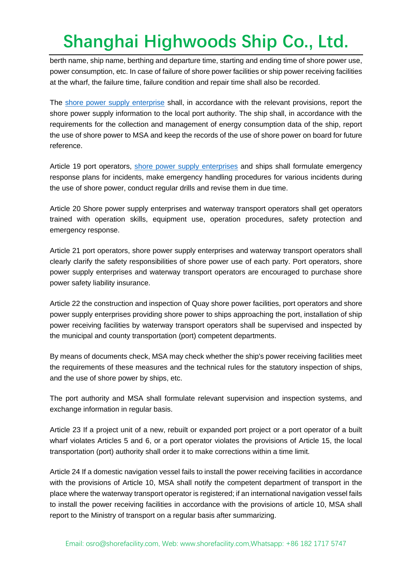berth name, ship name, berthing and departure time, starting and ending time of shore power use, power consumption, etc. In case of failure of shore power facilities or ship power receiving facilities at the wharf, the failure time, failure condition and repair time shall also be recorded.

The [shore power supply enterprise](mailto:osro@shorefacility.com) shall, in accordance with the relevant provisions, report the shore power supply information to the local port authority. The ship shall, in accordance with the requirements for the collection and management of energy consumption data of the ship, report the use of shore power to MSA and keep the records of the use of shore power on board for future reference.

Article 19 port operators, [shore power supply enterprises](mailto:osro@shorefacility.com) and ships shall formulate emergency response plans for incidents, make emergency handling procedures for various incidents during the use of shore power, conduct regular drills and revise them in due time.

Article 20 Shore power supply enterprises and waterway transport operators shall get operators trained with operation skills, equipment use, operation procedures, safety protection and emergency response.

Article 21 port operators, shore power supply enterprises and waterway transport operators shall clearly clarify the safety responsibilities of shore power use of each party. Port operators, shore power supply enterprises and waterway transport operators are encouraged to purchase shore power safety liability insurance.

Article 22 the construction and inspection of Quay shore power facilities, port operators and shore power supply enterprises providing shore power to ships approaching the port, installation of ship power receiving facilities by waterway transport operators shall be supervised and inspected by the municipal and county transportation (port) competent departments.

By means of documents check, MSA may check whether the ship's power receiving facilities meet the requirements of these measures and the technical rules for the statutory inspection of ships, and the use of shore power by ships, etc.

The port authority and MSA shall formulate relevant supervision and inspection systems, and exchange information in regular basis.

Article 23 If a project unit of a new, rebuilt or expanded port project or a port operator of a built wharf violates Articles 5 and 6, or a port operator violates the provisions of Article 15, the local transportation (port) authority shall order it to make corrections within a time limit.

Article 24 If a domestic navigation vessel fails to install the power receiving facilities in accordance with the provisions of Article 10, MSA shall notify the competent department of transport in the place where the waterway transport operator is registered; if an international navigation vessel fails to install the power receiving facilities in accordance with the provisions of article 10, MSA shall report to the Ministry of transport on a regular basis after summarizing.